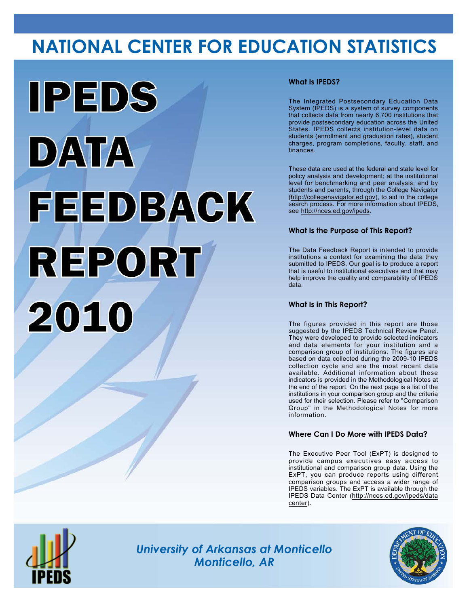# **NATIONAL CENTER FOR EDUCATION STATISTICS**



## **What Is IPEDS?**

The Integrated Postsecondary Education Data System (IPEDS) is a system of survey components that collects data from nearly 6,700 institutions that provide postsecondary education across the United States. IPEDS collects institution-level data on students (enrollment and graduation rates), student charges, program completions, faculty, staff, and finances.

These data are used at the federal and state level for policy analysis and development; at the institutional level for benchmarking and peer analysis; and by students and parents, through the College Navigator (<http://collegenavigator.ed.gov>), to aid in the college search process. For more information about IPEDS, see [http://nces.ed.gov/ipeds.](http://nces.ed.gov/ipeds)

## **What Is the Purpose of This Report?**

The Data Feedback Report is intended to provide institutions a context for examining the data they submitted to IPEDS. Our goal is to produce a report that is useful to institutional executives and that may help improve the quality and comparability of IPEDS data.

### **What Is in This Report?**

The figures provided in this report are those suggested by the IPEDS Technical Review Panel. They were developed to provide selected indicators and data elements for your institution and a comparison group of institutions. The figures are based on data collected during the 2009-10 IPEDS collection cycle and are the most recent data available. Additional information about these indicators is provided in the Methodological Notes at the end of the report. On the next page is a list of the institutions in your comparison group and the criteria used for their selection. Please refer to "Comparison Group" in the Methodological Notes for more information.

### **Where Can I Do More with IPEDS Data?**

The Executive Peer Tool (ExPT) is designed to provide campus executives easy access to institutional and comparison group data. Using the ExPT, you can produce reports using different comparison groups and access a wider range of IPEDS variables. The ExPT is available through the IPEDS Data Center ([http://nces.ed.gov/ipeds/data](http://nces.ed.gov/ipeds/datacenter) [center](http://nces.ed.gov/ipeds/datacenter)).



Image description. Cover Image End of image description.

*University of Arkansas at Monticello Monticello, AR*

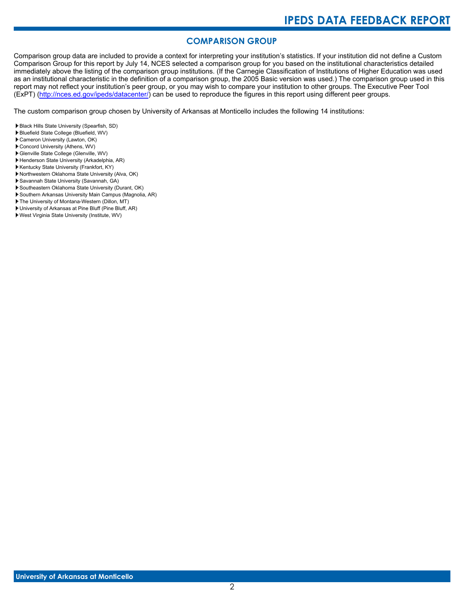# **COMPARISON GROUP**

Comparison group data are included to provide a context for interpreting your institution's statistics. If your institution did not define a Custom Comparison Group for this report by July 14, NCES selected a comparison group for you based on the institutional characteristics detailed immediately above the listing of the comparison group institutions. (If the Carnegie Classification of Institutions of Higher Education was used as an institutional characteristic in the definition of a comparison group, the 2005 Basic version was used.) The comparison group used in this report may not reflect your institution's peer group, or you may wish to compare your institution to other groups. The Executive Peer Tool (ExPT) [\(http://nces.ed.gov/ipeds/datacenter/\)](http://nces.ed.gov/ipeds/datacenter/) can be used to reproduce the figures in this report using different peer groups.

The custom comparison group chosen by University of Arkansas at Monticello includes the following 14 institutions:

- Black Hills State University (Spearfish, SD)
- Bluefield State College (Bluefield, WV)
- Cameron University (Lawton, OK)
- Concord University (Athens, WV)
- Glenville State College (Glenville, WV)
- Henderson State University (Arkadelphia, AR)
- Kentucky State University (Frankfort, KY) Northwestern Oklahoma State University (Alva, OK)
- Savannah State University (Savannah, GA)
- Southeastern Oklahoma State University (Durant, OK)
- Southern Arkansas University Main Campus (Magnolia, AR)
- The University of Montana-Western (Dillon, MT)
- University of Arkansas at Pine Bluff (Pine Bluff, AR)
- West Virginia State University (Institute, WV)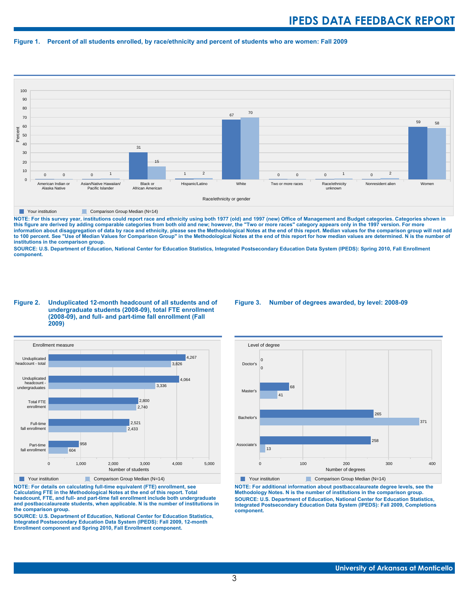#### **Figure 1. Percent of all students enrolled, by race/ethnicity and percent of students who are women: Fall 2009**



**The Comparison Group Median (N=14)** Comparison Group Median (N=14)

NOTE: For this survey year, institutions could report race and ethnicity using both 1977 (old) and 1997 (new) Office of Management and Budget categories. Categories shown in<br>this figure are derived by adding comparable cat **information about disaggregation of data by race and ethnicity, please see the Methodological Notes at the end of this report. Median values for the comparison group will not add to 100 percent. See "Use of Median Values for Comparison Group" in the Methodological Notes at the end of this report for how median values are determined. N is the number of institutions in the comparison group.**

**SOURCE: U.S. Department of Education, National Center for Education Statistics, Integrated Postsecondary Education Data System (IPEDS): Spring 2010, Fall Enrollment component.**

#### **Figure 2. Unduplicated 12-month headcount of all students and of undergraduate students (2008-09), total FTE enrollment (2008-09), and full- and part-time fall enrollment (Fall 2009)**



**NOTE: For details on calculating full-time equivalent (FTE) enrollment, see**

**Calculating FTE in the Methodological Notes at the end of this report. Total headcount, FTE, and full- and part-time fall enrollment include both undergraduate and postbaccalaureate students, when applicable. N is the number of institutions in the comparison group.**

**SOURCE: U.S. Department of Education, National Center for Education Statistics, Integrated Postsecondary Education Data System (IPEDS): Fall 2009, 12-month Enrollment component and Spring 2010, Fall Enrollment component.**

#### **Figure 3. Number of degrees awarded, by level: 2008-09**



**NOTE: For additional information about postbaccalaureate degree levels, see the Methodology Notes. N is the number of institutions in the comparison group. SOURCE: U.S. Department of Education, National Center for Education Statistics, Integrated Postsecondary Education Data System (IPEDS): Fall 2009, Completions component.**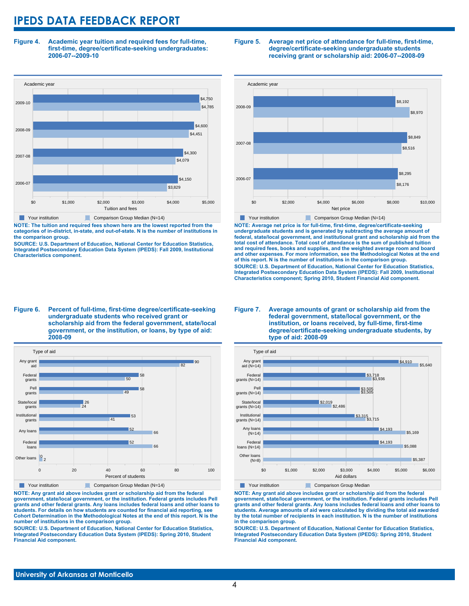**Figure 4. Academic year tuition and required fees for full-time, first-time, degree/certificate-seeking undergraduates: 2006-07--2009-10**



**NOTE: The tuition and required fees shown here are the lowest reported from the categories of in-district, in-state, and out-of-state. N is the number of institutions in the comparison group.**

**SOURCE: U.S. Department of Education, National Center for Education Statistics, Integrated Postsecondary Education Data System (IPEDS): Fall 2009, Institutional Characteristics component.**

#### **Figure 5. Average net price of attendance for full-time, first-time, degree/certificate-seeking undergraduate students receiving grant or scholarship aid: 2006-07--2008-09**



**NOTE: Average net price is for full-time, first-time, degree/certificate-seeking undergraduate students and is generated by subtracting the average amount of federal, state/local government, and institutional grant and scholarship aid from the total cost of attendance. Total cost of attendance is the sum of published tuition and required fees, books and supplies, and the weighted average room and board and other expenses. For more information, see the Methodological Notes at the end of this report. N is the number of institutions in the comparison group. SOURCE: U.S. Department of Education, National Center for Education Statistics, Integrated Postsecondary Education Data System (IPEDS): Fall 2009, Institutional Characteristics component; Spring 2010, Student Financial Aid component.**

#### **Figure 6. Percent of full-time, first-time degree/certificate-seeking undergraduate students who received grant or scholarship aid from the federal government, state/local government, or the institution, or loans, by type of aid: 2008-09**



**NOTE: Any grant aid above includes grant or scholarship aid from the federal government, state/local government, or the institution. Federal grants includes Pell grants and other federal grants. Any loans includes federal loans and other loans to students. For details on how students are counted for financial aid reporting, see Cohort Determination in the Methodological Notes at the end of this report. N is the number of institutions in the comparison group.**

**SOURCE: U.S. Department of Education, National Center for Education Statistics, Integrated Postsecondary Education Data System (IPEDS): Spring 2010, Student Financial Aid component.**

#### **Figure 7. Average amounts of grant or scholarship aid from the federal government, state/local government, or the institution, or loans received, by full-time, first-time degree/certificate-seeking undergraduate students, by type of aid: 2008-09**



**NOTE: Any grant aid above includes grant or scholarship aid from the federal government, state/local government, or the institution. Federal grants includes Pell grants and other federal grants. Any loans includes federal loans and other loans to students. Average amounts of aid were calculated by dividing the total aid awarded by the total number of recipients in each institution. N is the number of institutions in the comparison group.**

**SOURCE: U.S. Department of Education, National Center for Education Statistics, Integrated Postsecondary Education Data System (IPEDS): Spring 2010, Student Financial Aid component.**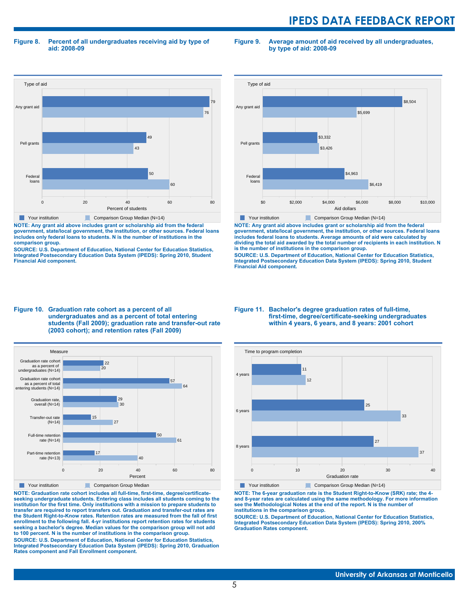**Figure 8. Percent of all undergraduates receiving aid by type of aid: 2008-09**

**Figure 9. Average amount of aid received by all undergraduates, by type of aid: 2008-09**



**NOTE: Any grant aid above includes grant or scholarship aid from the federal government, state/local government, the institution, or other sources. Federal loans includes only federal loans to students. N is the number of institutions in the comparison group.**

**SOURCE: U.S. Department of Education, National Center for Education Statistics, Integrated Postsecondary Education Data System (IPEDS): Spring 2010, Student Financial Aid component.**



**NOTE: Any grant aid above includes grant or scholarship aid from the federal government, state/local government, the institution, or other sources. Federal loans includes federal loans to students. Average amounts of aid were calculated by dividing the total aid awarded by the total number of recipients in each institution. N is the number of institutions in the comparison group.**

**SOURCE: U.S. Department of Education, National Center for Education Statistics, Integrated Postsecondary Education Data System (IPEDS): Spring 2010, Student Financial Aid component.**





**NOTE: Graduation rate cohort includes all full-time, first-time, degree/certificateseeking undergraduate students. Entering class includes all students coming to the institution for the first time. Only institutions with a mission to prepare students to transfer are required to report transfers out. Graduation and transfer-out rates are the Student Right-to-Know rates. Retention rates are measured from the fall of first enrollment to the following fall. 4-yr institutions report retention rates for students seeking a bachelor's degree. Median values for the comparison group will not add to 100 percent. N is the number of institutions in the comparison group.**

**SOURCE: U.S. Department of Education, National Center for Education Statistics, Integrated Postsecondary Education Data System (IPEDS): Spring 2010, Graduation Rates component and Fall Enrollment component.**

#### **Figure 11. Bachelor's degree graduation rates of full-time, first-time, degree/certificate-seeking undergraduates within 4 years, 6 years, and 8 years: 2001 cohort**



**NOTE: The 6-year graduation rate is the Student Right-to-Know (SRK) rate; the 4 and 8-year rates are calculated using the same methodology. For more information see the Methodological Notes at the end of the report. N is the number of institutions in the comparison group.**

**SOURCE: U.S. Department of Education, National Center for Education Statistics, Integrated Postsecondary Education Data System (IPEDS): Spring 2010, 200% Graduation Rates component.**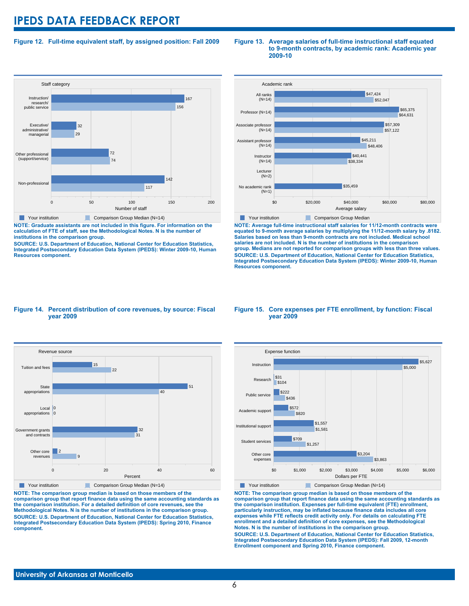### **Figure 12. Full-time equivalent staff, by assigned position: Fall 2009**

#### **Staff category** 0 50 50 100 50 50 200 Number of staff Non-professional Other professional (support/service) Executive/ administrative/ managerial Instruction/ research/ public service 117  $142$ 74 72 29 32 156 167 **The Your institution Comparison Group Median (N=14)**

**NOTE: Graduate assistants are not included in this figure. For information on the calculation of FTE of staff, see the Methodological Notes. N is the number of institutions in the comparison group.**

**SOURCE: U.S. Department of Education, National Center for Education Statistics, Integrated Postsecondary Education Data System (IPEDS): Winter 2009-10, Human Resources component.**

#### **Figure 13. Average salaries of full-time instructional staff equated to 9-month contracts, by academic rank: Academic year 2009-10**



**NOTE: Average full-time instructional staff salaries for 11/12-month contracts were equated to 9-month average salaries by multiplying the 11/12-month salary by .8182. Salaries based on less than 9-month contracts are not included. Medical school salaries are not included. N is the number of institutions in the comparison group. Medians are not reported for comparison groups with less than three values. SOURCE: U.S. Department of Education, National Center for Education Statistics, Integrated Postsecondary Education Data System (IPEDS): Winter 2009-10, Human Resources component.**

#### **Figure 14. Percent distribution of core revenues, by source: Fiscal year 2009**



**NOTE: The comparison group median is based on those members of the comparison group that report finance data using the same accounting standards as the comparison institution. For a detailed definition of core revenues, see the Methodological Notes. N is the number of institutions in the comparison group. SOURCE: U.S. Department of Education, National Center for Education Statistics, Integrated Postsecondary Education Data System (IPEDS): Spring 2010, Finance component.**

#### **Figure 15. Core expenses per FTE enrollment, by function: Fiscal year 2009**



**NOTE: The comparison group median is based on those members of the comparison group that report finance data using the same accounting standards as the comparison institution. Expenses per full-time equivalent (FTE) enrollment, particularly instruction, may be inflated because finance data includes all core expenses while FTE reflects credit activity only. For details on calculating FTE enrollment and a detailed definition of core expenses, see the Methodological Notes. N is the number of institutions in the comparison group. SOURCE: U.S. Department of Education, National Center for Education Statistics, Integrated Postsecondary Education Data System (IPEDS): Fall 2009, 12-month Enrollment component and Spring 2010, Finance component.**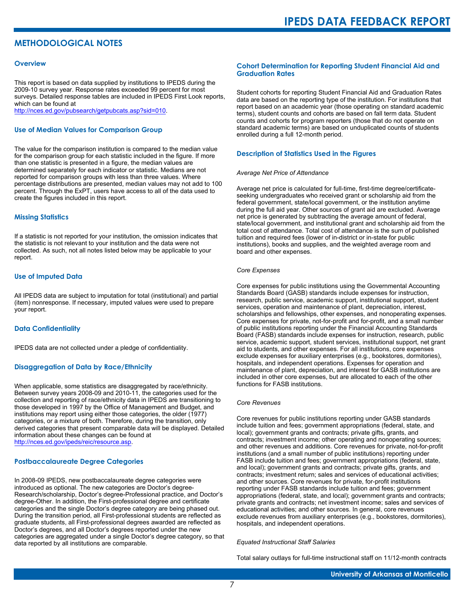# **METHODOLOGICAL NOTES**

#### **Overview**

This report is based on data supplied by institutions to IPEDS during the 2009-10 survey year. Response rates exceeded 99 percent for most surveys. Detailed response tables are included in IPEDS First Look reports, which can be found at [http://nces.ed.gov/pubsearch/getpubcats.asp?sid=010.](http://nces.ed.gov/pubsearch/getpubcats.asp?sid=010)

#### **Use of Median Values for Comparison Group**

The value for the comparison institution is compared to the median value for the comparison group for each statistic included in the figure. If more than one statistic is presented in a figure, the median values are determined separately for each indicator or statistic. Medians are not reported for comparison groups with less than three values. Where percentage distributions are presented, median values may not add to 100 percent. Through the ExPT, users have access to all of the data used to create the figures included in this report.

#### **Missing Statistics**

If a statistic is not reported for your institution, the omission indicates that the statistic is not relevant to your institution and the data were not collected. As such, not all notes listed below may be applicable to your report.

#### **Use of Imputed Data**

All IPEDS data are subject to imputation for total (institutional) and partial (item) nonresponse. If necessary, imputed values were used to prepare your report.

#### **Data Confidentiality**

IPEDS data are not collected under a pledge of confidentiality.

#### **Disaggregation of Data by Race/Ethnicity**

When applicable, some statistics are disaggregated by race/ethnicity. Between survey years 2008-09 and 2010-11, the categories used for the collection and reporting of race/ethnicity data in IPEDS are transitioning to those developed in 1997 by the Office of Management and Budget, and institutions may report using either those categories, the older (1977) categories, or a mixture of both. Therefore, during the transition, only derived categories that present comparable data will be displayed. Detailed information about these changes can be found at <http://nces.ed.gov/ipeds/reic/resource.asp>.

#### **Postbaccalaureate Degree Categories**

In 2008-09 IPEDS, new postbaccalaureate degree categories were introduced as optional. The new categories are Doctor's degree-Research/scholarship, Doctor's degree-Professional practice, and Doctor's degree-Other. In addition, the First-professional degree and certificate categories and the single Doctor's degree category are being phased out. During the transition period, all First-professional students are reflected as graduate students, all First-professional degrees awarded are reflected as Doctor's degrees, and all Doctor's degrees reported under the new categories are aggregated under a single Doctor's degree category, so that data reported by all institutions are comparable.

#### **Cohort Determination for Reporting Student Financial Aid and Graduation Rates**

Student cohorts for reporting Student Financial Aid and Graduation Rates data are based on the reporting type of the institution. For institutions that report based on an academic year (those operating on standard academic terms), student counts and cohorts are based on fall term data. Student counts and cohorts for program reporters (those that do not operate on standard academic terms) are based on unduplicated counts of students enrolled during a full 12-month period.

#### **Description of Statistics Used in the Figures**

#### *Average Net Price of Attendance*

Average net price is calculated for full-time, first-time degree/certificateseeking undergraduates who received grant or scholarship aid from the federal government, state/local government, or the institution anytime during the full aid year. Other sources of grant aid are excluded. Average net price is generated by subtracting the average amount of federal, state/local government, and institutional grant and scholarship aid from the total cost of attendance. Total cost of attendance is the sum of published tuition and required fees (lower of in-district or in-state for public institutions), books and supplies, and the weighted average room and board and other expenses.

#### *Core Expenses*

Core expenses for public institutions using the Governmental Accounting Standards Board (GASB) standards include expenses for instruction, research, public service, academic support, institutional support, student services, operation and maintenance of plant, depreciation, interest, scholarships and fellowships, other expenses, and nonoperating expenses. Core expenses for private, not-for-profit and for-profit, and a small number of public institutions reporting under the Financial Accounting Standards Board (FASB) standards include expenses for instruction, research, public service, academic support, student services, institutional support, net grant aid to students, and other expenses. For all institutions, core expenses exclude expenses for auxiliary enterprises (e.g., bookstores, dormitories), hospitals, and independent operations. Expenses for operation and maintenance of plant, depreciation, and interest for GASB institutions are included in other core expenses, but are allocated to each of the other functions for FASB institutions.

#### *Core Revenues*

Core revenues for public institutions reporting under GASB standards include tuition and fees; government appropriations (federal, state, and local); government grants and contracts; private gifts, grants, and contracts; investment income; other operating and nonoperating sources; and other revenues and additions. Core revenues for private, not-for-profit institutions (and a small number of public institutions) reporting under FASB include tuition and fees; government appropriations (federal, state, and local); government grants and contracts; private gifts, grants, and contracts; investment return; sales and services of educational activities; and other sources. Core revenues for private, for-profit institutions reporting under FASB standards include tuition and fees; government appropriations (federal, state, and local); government grants and contracts; private grants and contracts; net investment income; sales and services of educational activities; and other sources. In general, core revenues exclude revenues from auxiliary enterprises (e.g., bookstores, dormitories), hospitals, and independent operations.

#### *Equated Instructional Staff Salaries*

Total salary outlays for full-time instructional staff on 11/12-month contracts